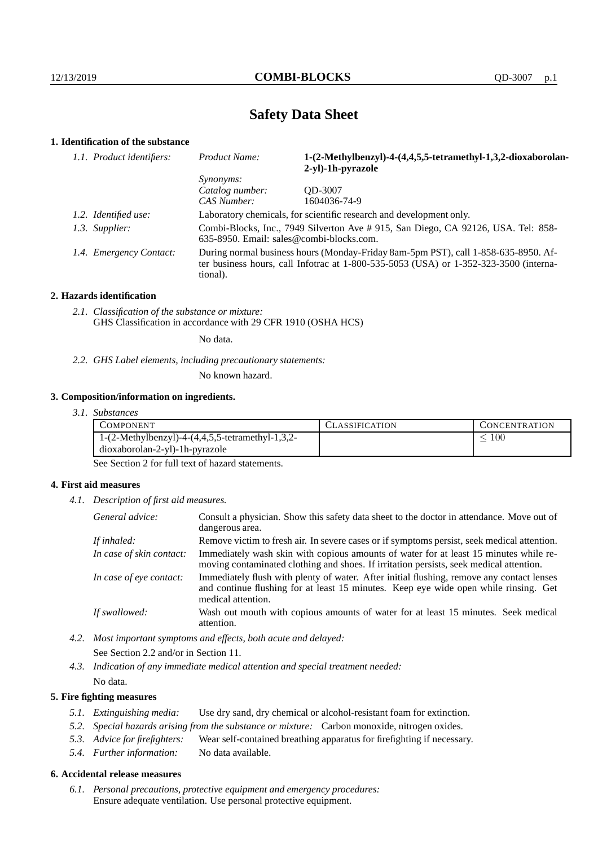# **Safety Data Sheet**

# **1. Identification of the substance**

| 1.1. Product identifiers: | Product Name:                                                                                                                                                                           | 1-(2-Methylbenzyl)-4-(4,4,5,5-tetramethyl-1,3,2-dioxaborolan-<br>2-yl)-1h-pyrazole |  |
|---------------------------|-----------------------------------------------------------------------------------------------------------------------------------------------------------------------------------------|------------------------------------------------------------------------------------|--|
|                           | <i>Synonyms:</i>                                                                                                                                                                        |                                                                                    |  |
|                           | Catalog number:                                                                                                                                                                         | OD-3007                                                                            |  |
|                           | CAS Number:                                                                                                                                                                             | 1604036-74-9                                                                       |  |
| 1.2. Identified use:      | Laboratory chemicals, for scientific research and development only.                                                                                                                     |                                                                                    |  |
| 1.3. Supplier:            | Combi-Blocks, Inc., 7949 Silverton Ave # 915, San Diego, CA 92126, USA. Tel: 858-<br>635-8950. Email: sales@combi-blocks.com.                                                           |                                                                                    |  |
| 1.4. Emergency Contact:   | During normal business hours (Monday-Friday 8am-5pm PST), call 1-858-635-8950. Af-<br>ter business hours, call Infotrac at 1-800-535-5053 (USA) or 1-352-323-3500 (interna-<br>tional). |                                                                                    |  |

## **2. Hazards identification**

*2.1. Classification of the substance or mixture:* GHS Classification in accordance with 29 CFR 1910 (OSHA HCS)

No data.

*2.2. GHS Label elements, including precautionary statements:*

No known hazard.

## **3. Composition/information on ingredients.**

*3.1. Substances*

| COMPONENT                                                 | '.`LASSIFICATION | CONCENTRATION. |
|-----------------------------------------------------------|------------------|----------------|
| 1- $(2$ -Methylbenzyl)-4- $(4,4,5,5)$ -tetramethyl-1,3,2- |                  | 100            |
| dioxaborolan-2-yl)-1h-pyrazole                            |                  |                |

See Section 2 for full text of hazard statements.

## **4. First aid measures**

*4.1. Description of first aid measures.*

| General advice:          | Consult a physician. Show this safety data sheet to the doctor in attendance. Move out of<br>dangerous area.                                                                                            |
|--------------------------|---------------------------------------------------------------------------------------------------------------------------------------------------------------------------------------------------------|
| If inhaled:              | Remove victim to fresh air. In severe cases or if symptoms persist, seek medical attention.                                                                                                             |
| In case of skin contact: | Immediately wash skin with copious amounts of water for at least 15 minutes while re-<br>moving contaminated clothing and shoes. If irritation persists, seek medical attention.                        |
| In case of eye contact:  | Immediately flush with plenty of water. After initial flushing, remove any contact lenses<br>and continue flushing for at least 15 minutes. Keep eye wide open while rinsing. Get<br>medical attention. |
| If swallowed:            | Wash out mouth with copious amounts of water for at least 15 minutes. Seek medical<br>attention.                                                                                                        |

*4.2. Most important symptoms and effects, both acute and delayed:* See Section 2.2 and/or in Section 11.

*4.3. Indication of any immediate medical attention and special treatment needed:* No data.

## **5. Fire fighting measures**

- *5.1. Extinguishing media:* Use dry sand, dry chemical or alcohol-resistant foam for extinction.
- *5.2. Special hazards arising from the substance or mixture:* Carbon monoxide, nitrogen oxides.
- *5.3. Advice for firefighters:* Wear self-contained breathing apparatus for firefighting if necessary.
- *5.4. Further information:* No data available.

## **6. Accidental release measures**

*6.1. Personal precautions, protective equipment and emergency procedures:* Ensure adequate ventilation. Use personal protective equipment.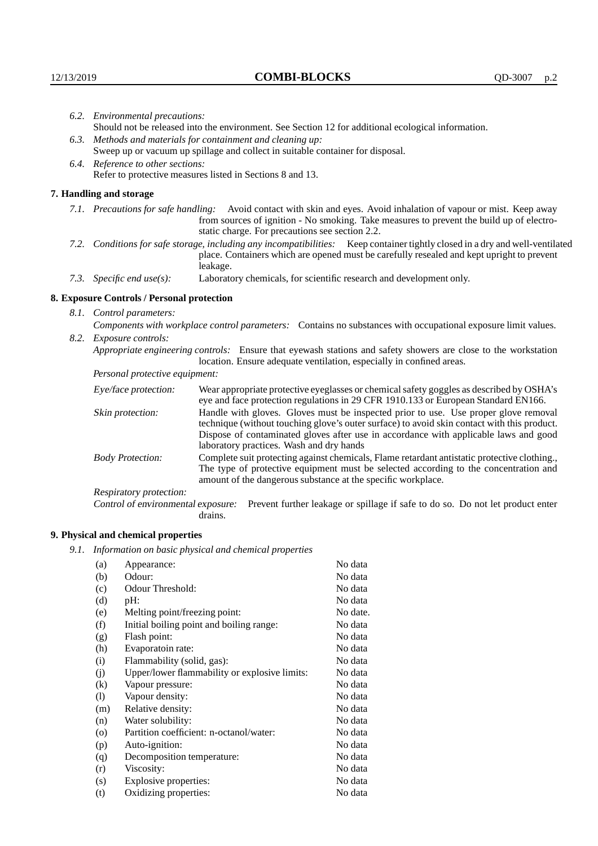| 6.2. Environmental precautions: |                                                                                                                                                                                                                                                                    |                                                                                                                                                                                                                                                                                                                        |  |  |
|---------------------------------|--------------------------------------------------------------------------------------------------------------------------------------------------------------------------------------------------------------------------------------------------------------------|------------------------------------------------------------------------------------------------------------------------------------------------------------------------------------------------------------------------------------------------------------------------------------------------------------------------|--|--|
|                                 | Should not be released into the environment. See Section 12 for additional ecological information.                                                                                                                                                                 |                                                                                                                                                                                                                                                                                                                        |  |  |
|                                 |                                                                                                                                                                                                                                                                    | 6.3. Methods and materials for containment and cleaning up:                                                                                                                                                                                                                                                            |  |  |
|                                 | Sweep up or vacuum up spillage and collect in suitable container for disposal.                                                                                                                                                                                     |                                                                                                                                                                                                                                                                                                                        |  |  |
|                                 | 6.4. Reference to other sections:                                                                                                                                                                                                                                  |                                                                                                                                                                                                                                                                                                                        |  |  |
|                                 | Refer to protective measures listed in Sections 8 and 13.                                                                                                                                                                                                          |                                                                                                                                                                                                                                                                                                                        |  |  |
|                                 | 7. Handling and storage                                                                                                                                                                                                                                            |                                                                                                                                                                                                                                                                                                                        |  |  |
|                                 | 7.1. Precautions for safe handling: Avoid contact with skin and eyes. Avoid inhalation of vapour or mist. Keep away<br>from sources of ignition - No smoking. Take measures to prevent the build up of electro-<br>static charge. For precautions see section 2.2. |                                                                                                                                                                                                                                                                                                                        |  |  |
|                                 |                                                                                                                                                                                                                                                                    | 7.2. Conditions for safe storage, including any incompatibilities: Keep container tightly closed in a dry and well-ventilated<br>place. Containers which are opened must be carefully resealed and kept upright to prevent<br>leakage.                                                                                 |  |  |
|                                 | 7.3. Specific end use(s):                                                                                                                                                                                                                                          | Laboratory chemicals, for scientific research and development only.                                                                                                                                                                                                                                                    |  |  |
|                                 | 8. Exposure Controls / Personal protection                                                                                                                                                                                                                         |                                                                                                                                                                                                                                                                                                                        |  |  |
| 8.1. Control parameters:        |                                                                                                                                                                                                                                                                    |                                                                                                                                                                                                                                                                                                                        |  |  |
|                                 | Components with workplace control parameters: Contains no substances with occupational exposure limit values.                                                                                                                                                      |                                                                                                                                                                                                                                                                                                                        |  |  |
|                                 | 8.2. Exposure controls:                                                                                                                                                                                                                                            |                                                                                                                                                                                                                                                                                                                        |  |  |
|                                 |                                                                                                                                                                                                                                                                    | Appropriate engineering controls: Ensure that eyewash stations and safety showers are close to the workstation<br>location. Ensure adequate ventilation, especially in confined areas.                                                                                                                                 |  |  |
|                                 | Personal protective equipment:                                                                                                                                                                                                                                     |                                                                                                                                                                                                                                                                                                                        |  |  |
|                                 | Eye/face protection:                                                                                                                                                                                                                                               | Wear appropriate protective eyeglasses or chemical safety goggles as described by OSHA's<br>eye and face protection regulations in 29 CFR 1910.133 or European Standard EN166.                                                                                                                                         |  |  |
|                                 | Skin protection:                                                                                                                                                                                                                                                   | Handle with gloves. Gloves must be inspected prior to use. Use proper glove removal<br>technique (without touching glove's outer surface) to avoid skin contact with this product.<br>Dispose of contaminated gloves after use in accordance with applicable laws and good<br>laboratory practices. Wash and dry hands |  |  |
|                                 | <b>Body Protection:</b>                                                                                                                                                                                                                                            | Complete suit protecting against chemicals, Flame retardant antistatic protective clothing.,<br>The type of protective equipment must be selected according to the concentration and<br>amount of the dangerous substance at the specific workplace.                                                                   |  |  |
|                                 | Respiratory protection:                                                                                                                                                                                                                                            |                                                                                                                                                                                                                                                                                                                        |  |  |

Control of environmental exposure: Prevent further leakage or spillage if safe to do so. Do not let product enter drains.

# **9. Physical and chemical properties**

*9.1. Information on basic physical and chemical properties*

| (a)      | Appearance:                                   | No data  |
|----------|-----------------------------------------------|----------|
| (b)      | Odour:                                        | No data  |
| (c)      | Odour Threshold:                              | No data  |
| (d)      | pH:                                           | No data  |
| (e)      | Melting point/freezing point:                 | No date. |
| (f)      | Initial boiling point and boiling range:      | No data  |
| (g)      | Flash point:                                  | No data  |
| (h)      | Evaporatoin rate:                             | No data  |
| (i)      | Flammability (solid, gas):                    | No data  |
| (i)      | Upper/lower flammability or explosive limits: | No data  |
| $\rm(k)$ | Vapour pressure:                              | No data  |
| (1)      | Vapour density:                               | No data  |
| (m)      | Relative density:                             | No data  |
| (n)      | Water solubility:                             | No data  |
| (0)      | Partition coefficient: n-octanol/water:       | No data  |
| (p)      | Auto-ignition:                                | No data  |
| (q)      | Decomposition temperature:                    | No data  |
| (r)      | Viscosity:                                    | No data  |
| (s)      | Explosive properties:                         | No data  |
| (t)      | Oxidizing properties:                         | No data  |